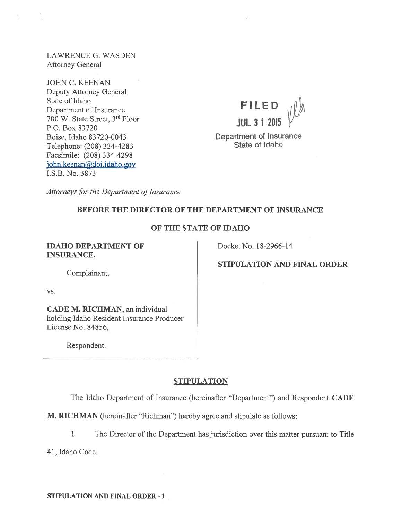LAWRENCE G. WASDEN Attorney General

JOHN C. KEENAN Deputy Attorney General State of Idaho<br>
Penertment of Insurance<br> **FILED** Department of Insurance 700 W. State Street, 3<sup>rd</sup> Floor **JUL 3 1 2015** P.O. Box 83720 Boise, Idaho 83720-0043<br>
Telephone: (208) 334-4283<br>
State of Idaho Telephone: (208) 334-4283 Facsimile: (208) 334-4298 iohn.keenan@doi.idaho.gov I.S.B. No. 3873



Attorneys for the Department of Insurance

# BEFORE THE DIRECTOR OF THE DEPARTMENT OF INSURANCE

## OF THE STATE OF IDAHO

**IDAHO DEPARTMENT OF Docket No. 18-2966-14** INSURANCE,

STIPULATION AND FINAL ORDER

Complainant,

vs.

CADE M. RICHMAN, an individual holding Idaho Resident Insurance Producer License No. 84856,

Respondent.

## **STIPULATION**

The Idaho Department of Insurance (hereinafter "Department") and Respondent CADE

M. RICHMAN (hereinafter "Richman") hereby agree and stipulate as follows:

1. The Director of the Department has jurisdiction over this matter pursuan<sup>t</sup> to Title

41, Idaho Code.

STIPULATION AND FINAL ORDER - I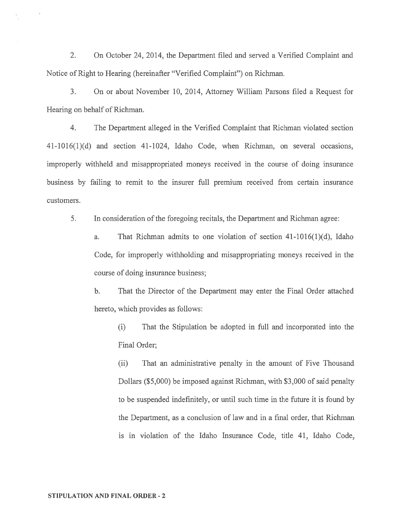2. On October 24, 2014, the Department filed and served <sup>a</sup> Verified Complaint and Notice of Right to Hearing (hereinafter "Verified Complaint") on Richman.

3. On or about November 10, 2014, Attorney William Parsons filed <sup>a</sup> Request for Hearing on behalf of Richman.

4. The Department alleged in the Verified Complaint that Richman violated section 41-1016(1)(d) and section 41-1024, Idaho Code, when Richman, on several occasions, improperly withheld and misappropriated moneys received in the course of doing insurance business by failing to remit to the insurer full premium received from certain insurance customers.

5. In consideration of the foregoing recitals, the Department and Richman agree:

a. That Richman admits to one violation of section 41-1016(1)(d), Idaho Code, for improperly withholding and misappropriating moneys received in the course of doing insurance business;

b. That the Director of the Department may enter the Final Order attached hereto, which provides as follows:

(i) That the Stipulation be adopted in full and incorporated into the Final Order;

(ii) That an administrative penalty in the amount of Five Thousand Dollars (\$5,000) be imposed against Richman, with \$3,000 of said penalty to be suspended indefinitely, or until such time in the future it is found by the Department, as <sup>a</sup> conclusion of law and in <sup>a</sup> final order, that Richman is in violation of the Idaho Insurance Code, title 41, Idaho Code,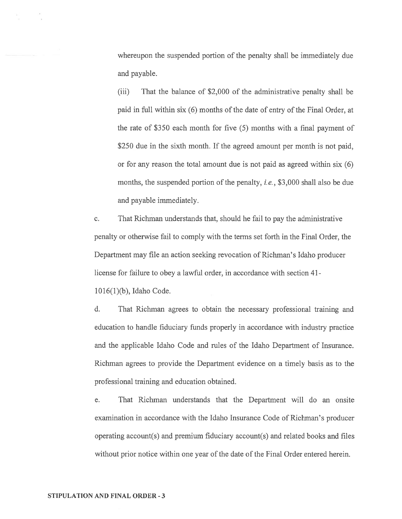whereupon the suspended portion of the penalty shall be immediately due and payable.

(iii) That the balance of \$2,000 of the administrative penalty shall be paid in full within six (6) months of the date of entry of the Final Order, at the rate of \$350 each month for five (5) months with <sup>a</sup> final paymen<sup>t</sup> of \$250 due in the sixth month. If the agreed amount per month is not paid, or for any reason the total amount due is not paid as agreed within six (6) months, the suspended portion of the penalty, *i.e.*, \$3,000 shall also be due and payable immediately.

c. That Richman understands that, should he fail to pay the administrative penalty or otherwise fail to comply with the terms set forth in the Final Order, the Department may file an action seeking revocation of Richman's Idaho producer license for failure to obey <sup>a</sup> lawful order, in accordance with section 41-

1016(1)(b), Idaho Code.

d. That Richman agrees to obtain the necessary professional training and education to handle fiduciary funds properly in accordance with industry practice and the applicable Idaho Code and rules of the Idaho Department of Insurance. Richman agrees to provide the Department evidence on <sup>a</sup> timely basis as to the professional training and education obtained.

e. That Richman understands that the Department will do an onsite examination in accordance with the Idaho Insurance Code of Richman's producer operating account(s) and premium fiduciary account(s) and related books and files without prior notice within one year of the date of the Final Order entered herein.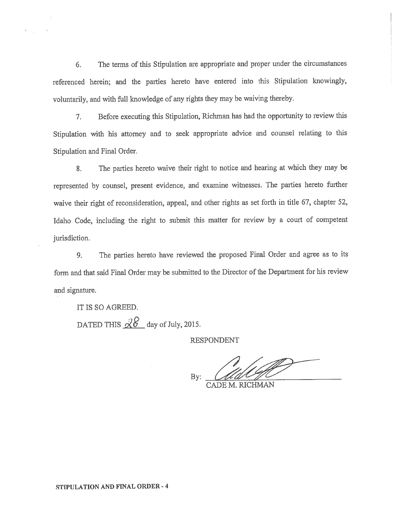6. The terms of this Stipulation are appropriate and proper under the circumstances referenced herein; and the parties hereto have entered into this Stipulation knowingly, voluntarily, and with full knowledge of any rights they may be waiving thereby.

7. Before executing this Stipulation, Richman has had the opportunity to review this Stipulation with his attorney and to seek appropriate advice and counsel relating to this Stipulation and Final Order.

8. The parties hereto waive their right to notice and hearing at which they may be represented by counsel, presen<sup>t</sup> evidence, and examine witnesses. The parties hereto further waive their right of reconsideration, appeal, and other rights as set forth in title 67, chapter 52, Idaho Code, including the right to submit this matter for review by <sup>a</sup> court of competent jurisdiction.

9. The parties hereto have reviewed the propose<sup>d</sup> Final Order and agree as to its form and that said Final Order may be submitted to the Director of the Department for his review and signature.

IT IS SO AGREED. DATED THIS  $\chi$ 0 day of July, 2015.

RESPONDENT

By:  $\mathcal{U}\mathcal{U}\mathcal{V}$ 

CADE M. RICHMAN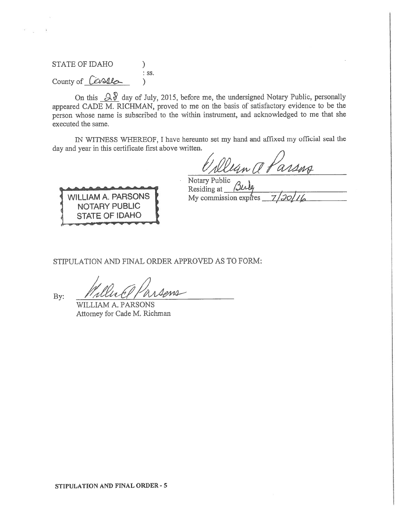STATE OF IDAHO )<br>: ss.  $Country of$   $\acute{C}$   $\acute{C}$ 

On this  $\alpha$  day of July, 2015, before me, the undersigned Notary Public, personally appeared CADE M. RICHMAN, proved to me on the basis of satisfactory evidence to be the person whose name is subscribed to the within instrument, and acknowledged to me that she executed the same.

IN WITNESS WHEREOF, <sup>I</sup> have hereunto set my hand and affixed my official seal the day and year in this certificate first above written.

un a Parsos



Notary Public Residing at My commission expires

STIPULATION AND FINAL ORDER APPROVED AS TO FORM:

WILLIAM A. PARSONS Attorney for Cade M. Richman

By: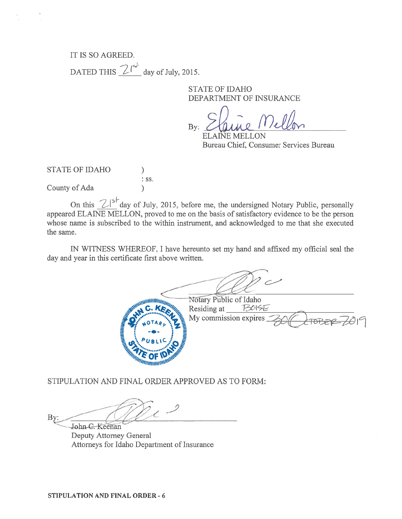# IT IS SO AGREED. DATED THIS  $2^{|s|}$  day of July, 2015.

STATE OF IDAHO DEPARTMENT OF INSURANCE

 $\bigcirc$  $By: Z$ aune Mellon

ELAINE MELLON Bureau Chief, Consumer Services Bureau

STATE OF IDAHO  $\lambda$ : SS. County of Ada  $\lambda$ )

On this  $2\int_{0}^{5}$  day of July, 2015, before me, the undersigned Notary Public, personally appeared ELAINE MELLON, proved to me on the basis of satisfactory evidence to be the person whose name is subscribed to the within instrument, and acknowledged to me that she executed the same.

IN WITNESS WHEREOF, I have hereunto set my hand and affixed my official seal the day and year in this certificate first above written.

**MANUTE DE SANTA CALER** Notary Public of Idaho  $BUSE$ Residing at My commission expires

STIPULATION AND FINAL ORDER APPROVED AS TO FORM:

By: John-C. Keenan

Deputy Attorney General Attorneys for Idaho Department of Insurance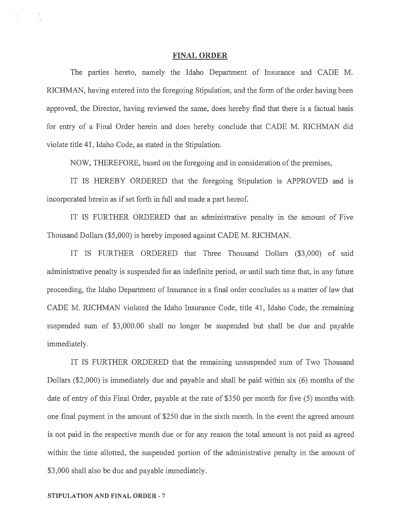#### FINAL ORDER

The parties hereto, namely the Idaho Department of Insurance and CADE M. RICHMAN, having entered into the foregoing Stipulation, and the form of the order having been approved, the Director, having reviewed the same, does hereby find that there is <sup>a</sup> factual basis for entry of <sup>a</sup> Final Order herein and does hereby conclude that CADE M. RICHMAN did violate title 41, Idaho Code, as stated in the Stipulation.

NOW, THEREFORE, based on the foregoing and in consideration of the premises,

IT IS HEREBY ORDERED that the foregoing Stipulation is APPROVED and is incorporated herein as if set forth in full and made <sup>a</sup> par<sup>t</sup> hereof.

IT IS FURTHER ORDERED that an administrative penalty in the amount of Five Thousand Dollars (\$5,000) is hereby imposed against CADE M. RICHMAN.

IT IS FURTHER ORDERED that Three Thousand Dollars (\$3,000) of said administrative penalty is suspended for an indefinite period, or until such time that, in any future proceeding, the Idaho Department of Insurance in <sup>a</sup> final order concludes as <sup>a</sup> matter of law that CADE M. RICHMAN violated the Idaho Insurance Code, title 41, Idaho Code, the remaining suspended sum of \$3,000.00 shall no longer be suspended but shall be due and payable immediately.

IT IS FURTHER ORDERED that the remaining unsuspended sum of Two Thousand Dollars (\$2,000) is immediately due and payable and shall be paid within six (6) months of the date of entry of this Final Order, payable at the rate of \$350 per month for five (5) months with one final paymen<sup>t</sup> in the amount of \$250 due in the sixth month. In the event the agreed amount is not paid in the respective month due or for any reason the total amount is not paid as agreed within the time allotted, the suspended portion of the administrative penalty in the amount of \$3,000 shall also be due and payable immediately.

#### STIPULATION AND FINAL ORDER -7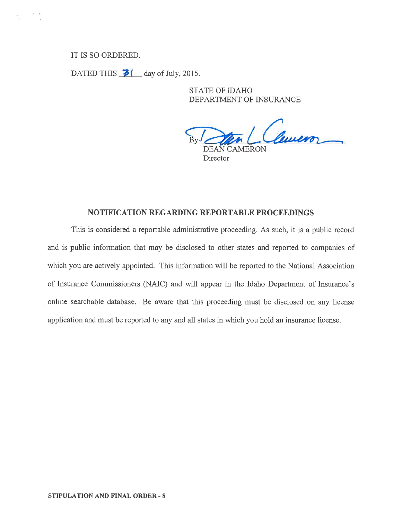# IT IS SO ORDERED.

DATED THIS  $\overline{\rightarrow}$  ( day of July, 2015.

STATE OF IDAHO DEPARTMENT OF INSURANCE

Clemen DEAN CAMERON **Director** 

### NOTIFICATION REGARDING REPORTABLE PROCEEDINGS

This is considered <sup>a</sup> reportable administrative proceeding. As such, it is <sup>a</sup> public record and is public information that may be disclosed to other states and reported to companies of which you are actively appointed. This information will be reported to the National Association of Insurance Commissioners (NAIC) and will appear in the Idaho Department of Insurance's online searchable database. Be aware that this proceeding must be disclosed on any license application and must be reported to any and all states in which you hold an insurance license.